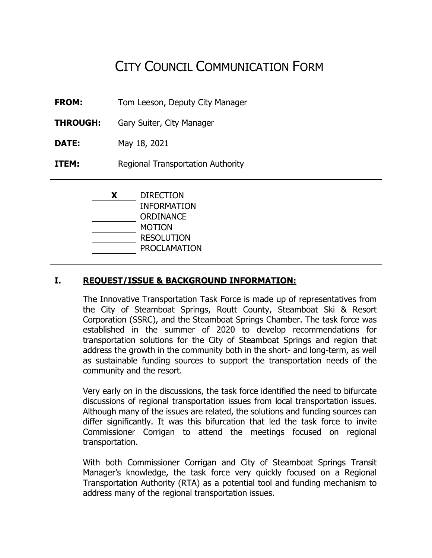# CITY COUNCIL COMMUNICATION FORM

- **FROM:** Tom Leeson, Deputy City Manager
- **THROUGH:** Gary Suiter, City Manager
- **DATE:** May 18, 2021
- **ITEM:** Regional Transportation Authority

| X | <b>DIRECTION</b>    |
|---|---------------------|
|   | <b>INFORMATION</b>  |
|   | ORDINANCE           |
|   | MOTION              |
|   | <b>RESOLUTION</b>   |
|   | <b>PROCLAMATION</b> |

#### **I. REQUEST/ISSUE & BACKGROUND INFORMATION:**

The Innovative Transportation Task Force is made up of representatives from the City of Steamboat Springs, Routt County, Steamboat Ski & Resort Corporation (SSRC), and the Steamboat Springs Chamber. The task force was established in the summer of 2020 to develop recommendations for transportation solutions for the City of Steamboat Springs and region that address the growth in the community both in the short- and long-term, as well as sustainable funding sources to support the transportation needs of the community and the resort.

Very early on in the discussions, the task force identified the need to bifurcate discussions of regional transportation issues from local transportation issues. Although many of the issues are related, the solutions and funding sources can differ significantly. It was this bifurcation that led the task force to invite Commissioner Corrigan to attend the meetings focused on regional transportation.

With both Commissioner Corrigan and City of Steamboat Springs Transit Manager's knowledge, the task force very quickly focused on a Regional Transportation Authority (RTA) as a potential tool and funding mechanism to address many of the regional transportation issues.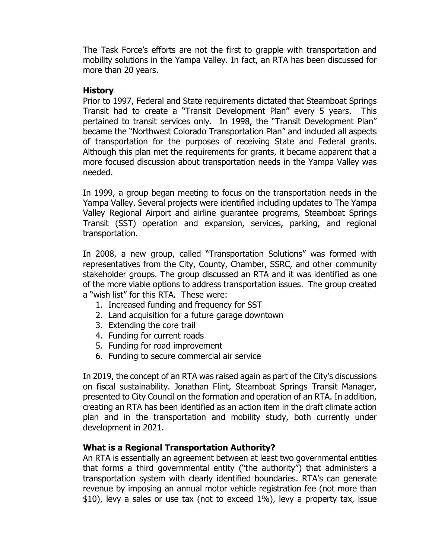The Task Force's efforts are not the first to grapple with transportation and mobility solutions in the Yampa Valley. In fact, an RTA has been discussed for more than 20 years.

#### **History**

Prior to 1997, Federal and State requirements dictated that Steamboat Springs Transit had to create a "Transit Development Plan" every 5 years. This pertained to transit services only. In 1998, the "Transit Development Plan" became the "Northwest Colorado Transportation Plan" and included all aspects of transportation for the purposes of receiving State and Federal grants. Although this plan met the requirements for grants, it became apparent that a more focused discussion about transportation needs in the Yampa Valley was needed.

In 1999, a group began meeting to focus on the transportation needs in the Yampa Valley. Several projects were identified including updates to The Yampa Valley Regional Airport and airline guarantee programs, Steamboat Springs Transit (SST) operation and expansion, services, parking, and regional transportation.

In 2008, a new group, called "Transportation Solutions" was formed with representatives from the City, County, Chamber, SSRC, and other community stakeholder groups. The group discussed an RTA and it was identified as one of the more viable options to address transportation issues. The group created a "wish list" for this RTA. These were:

- 1. Increased funding and frequency for SST
- 2. Land acquisition for a future garage downtown
- 3. Extending the core trail
- 4. Funding for current roads
- 5. Funding for road improvement
- 6. Funding to secure commercial air service

In 2019, the concept of an RTA was raised again as part of the City's discussions on fiscal sustainability. Jonathan Flint, Steamboat Springs Transit Manager, presented to City Council on the formation and operation of an RTA. In addition, creating an RTA has been identified as an action item in the draft climate action plan and in the transportation and mobility study, both currently under development in 2021.

#### **What is a Regional Transportation Authority?**

An RTA is essentially an agreement between at least two governmental entities that forms a third governmental entity ("the authority") that administers a transportation system with clearly identified boundaries. RTA's can generate revenue by imposing an annual motor vehicle registration fee (not more than \$10), levy a sales or use tax (not to exceed 1%), levy a property tax, issue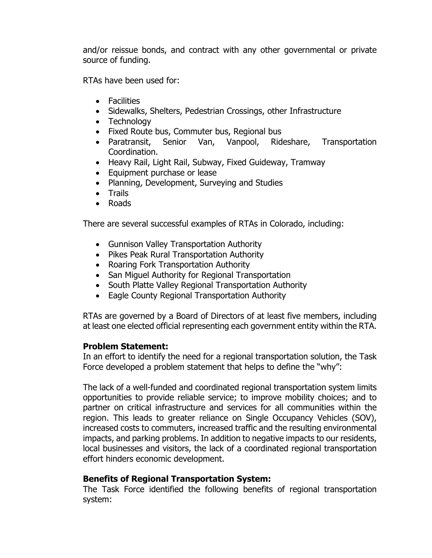and/or reissue bonds, and contract with any other governmental or private source of funding.

RTAs have been used for:

- Facilities
- Sidewalks, Shelters, Pedestrian Crossings, other Infrastructure
- Technology
- Fixed Route bus, Commuter bus, Regional bus
- Paratransit, Senior Van, Vanpool, Rideshare, Transportation Coordination.
- Heavy Rail, Light Rail, Subway, Fixed Guideway, Tramway
- Equipment purchase or lease
- Planning, Development, Surveying and Studies
- Trails
- Roads

There are several successful examples of RTAs in Colorado, including:

- Gunnison Valley Transportation Authority
- Pikes Peak Rural Transportation Authority
- Roaring Fork Transportation Authority
- San Miguel Authority for Regional Transportation
- South Platte Valley Regional Transportation Authority
- Eagle County Regional Transportation Authority

RTAs are governed by a Board of Directors of at least five members, including at least one elected official representing each government entity within the RTA.

#### **Problem Statement:**

In an effort to identify the need for a regional transportation solution, the Task Force developed a problem statement that helps to define the "why":

The lack of a well-funded and coordinated regional transportation system limits opportunities to provide reliable service; to improve mobility choices; and to partner on critical infrastructure and services for all communities within the region. This leads to greater reliance on Single Occupancy Vehicles (SOV), increased costs to commuters, increased traffic and the resulting environmental impacts, and parking problems. In addition to negative impacts to our residents, local businesses and visitors, the lack of a coordinated regional transportation effort hinders economic development.

#### **Benefits of Regional Transportation System:**

The Task Force identified the following benefits of regional transportation system: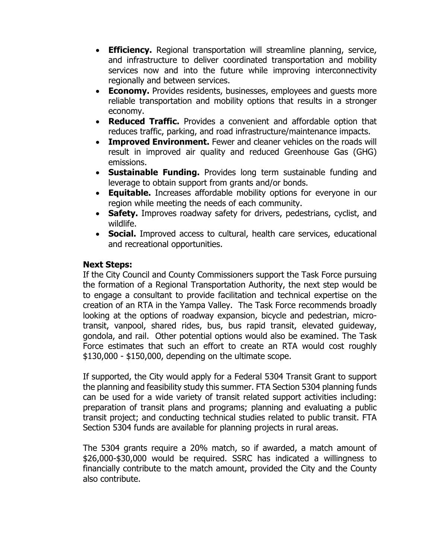- **Efficiency.** Regional transportation will streamline planning, service, and infrastructure to deliver coordinated transportation and mobility services now and into the future while improving interconnectivity regionally and between services.
- **Economy.** Provides residents, businesses, employees and quests more reliable transportation and mobility options that results in a stronger economy.
- **Reduced Traffic.** Provides a convenient and affordable option that reduces traffic, parking, and road infrastructure/maintenance impacts.
- **Improved Environment.** Fewer and cleaner vehicles on the roads will result in improved air quality and reduced Greenhouse Gas (GHG) emissions.
- **Sustainable Funding.** Provides long term sustainable funding and leverage to obtain support from grants and/or bonds.
- **Equitable.** Increases affordable mobility options for everyone in our region while meeting the needs of each community.
- **Safety.** Improves roadway safety for drivers, pedestrians, cyclist, and wildlife.
- **Social.** Improved access to cultural, health care services, educational and recreational opportunities.

#### **Next Steps:**

If the City Council and County Commissioners support the Task Force pursuing the formation of a Regional Transportation Authority, the next step would be to engage a consultant to provide facilitation and technical expertise on the creation of an RTA in the Yampa Valley. The Task Force recommends broadly looking at the options of roadway expansion, bicycle and pedestrian, microtransit, vanpool, shared rides, bus, bus rapid transit, elevated guideway, gondola, and rail. Other potential options would also be examined. The Task Force estimates that such an effort to create an RTA would cost roughly \$130,000 - \$150,000, depending on the ultimate scope.

If supported, the City would apply for a Federal 5304 Transit Grant to support the planning and feasibility study this summer. FTA Section 5304 planning funds can be used for a wide variety of transit related support activities including: preparation of transit plans and programs; planning and evaluating a public transit project; and conducting technical studies related to public transit. FTA Section 5304 funds are available for planning projects in rural areas.

The 5304 grants require a 20% match, so if awarded, a match amount of \$26,000-\$30,000 would be required. SSRC has indicated a willingness to financially contribute to the match amount, provided the City and the County also contribute.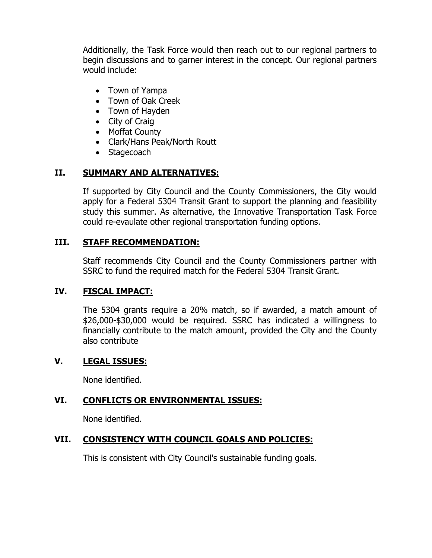Additionally, the Task Force would then reach out to our regional partners to begin discussions and to garner interest in the concept. Our regional partners would include:

- Town of Yampa
- Town of Oak Creek
- Town of Hayden
- City of Craig
- Moffat County
- Clark/Hans Peak/North Routt
- Stagecoach

## **II. SUMMARY AND ALTERNATIVES:**

If supported by City Council and the County Commissioners, the City would apply for a Federal 5304 Transit Grant to support the planning and feasibility study this summer. As alternative, the Innovative Transportation Task Force could re-evaulate other regional transportation funding options.

## **III. STAFF RECOMMENDATION:**

Staff recommends City Council and the County Commissioners partner with SSRC to fund the required match for the Federal 5304 Transit Grant.

## **IV. FISCAL IMPACT:**

The 5304 grants require a 20% match, so if awarded, a match amount of \$26,000-\$30,000 would be required. SSRC has indicated a willingness to financially contribute to the match amount, provided the City and the County also contribute

## **V. LEGAL ISSUES:**

None identified.

## **VI. CONFLICTS OR ENVIRONMENTAL ISSUES:**

None identified.

## **VII. CONSISTENCY WITH COUNCIL GOALS AND POLICIES:**

This is consistent with City Council's sustainable funding goals.